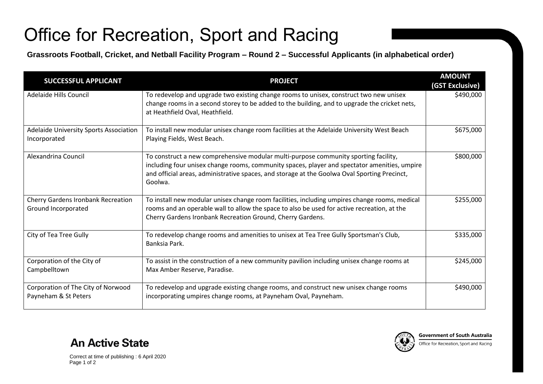## Office for Recreation, Sport and Racing

**Grassroots Football, Cricket, and Netball Facility Program – Round 2 – Successful Applicants (in alphabetical order)**

| <b>SUCCESSFUL APPLICANT</b>                                      | <b>PROJECT</b>                                                                                                                                                                                                                                                                                 | <b>AMOUNT</b><br>(GST Exclusive) |
|------------------------------------------------------------------|------------------------------------------------------------------------------------------------------------------------------------------------------------------------------------------------------------------------------------------------------------------------------------------------|----------------------------------|
| Adelaide Hills Council                                           | To redevelop and upgrade two existing change rooms to unisex, construct two new unisex<br>change rooms in a second storey to be added to the building, and to upgrade the cricket nets,<br>at Heathfield Oval, Heathfield.                                                                     | \$490,000                        |
| Adelaide University Sports Association<br>Incorporated           | To install new modular unisex change room facilities at the Adelaide University West Beach<br>Playing Fields, West Beach.                                                                                                                                                                      | \$675,000                        |
| Alexandrina Council                                              | To construct a new comprehensive modular multi-purpose community sporting facility,<br>including four unisex change rooms, community spaces, player and spectator amenities, umpire<br>and official areas, administrative spaces, and storage at the Goolwa Oval Sporting Precinct,<br>Goolwa. | \$800,000                        |
| <b>Cherry Gardens Ironbank Recreation</b><br>Ground Incorporated | To install new modular unisex change room facilities, including umpires change rooms, medical<br>rooms and an operable wall to allow the space to also be used for active recreation, at the<br>Cherry Gardens Ironbank Recreation Ground, Cherry Gardens.                                     | \$255,000                        |
| City of Tea Tree Gully                                           | To redevelop change rooms and amenities to unisex at Tea Tree Gully Sportsman's Club,<br>Banksia Park.                                                                                                                                                                                         | \$335,000                        |
| Corporation of the City of<br>Campbelltown                       | To assist in the construction of a new community pavilion including unisex change rooms at<br>Max Amber Reserve, Paradise.                                                                                                                                                                     | \$245,000                        |
| Corporation of The City of Norwood<br>Payneham & St Peters       | To redevelop and upgrade existing change rooms, and construct new unisex change rooms<br>incorporating umpires change rooms, at Payneham Oval, Payneham.                                                                                                                                       | \$490,000                        |



**An Active State**